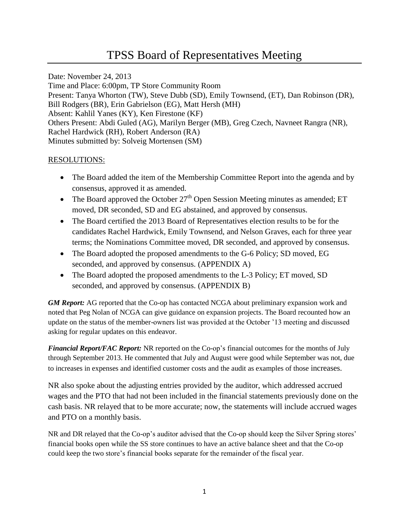# TPSS Board of Representatives Meeting

Date: November 24, 2013 Time and Place: 6:00pm, TP Store Community Room Present: Tanya Whorton (TW), Steve Dubb (SD), Emily Townsend, (ET), Dan Robinson (DR), Bill Rodgers (BR), Erin Gabrielson (EG), Matt Hersh (MH) Absent: Kahlil Yanes (KY), Ken Firestone (KF) Others Present: Abdi Guled (AG), Marilyn Berger (MB), Greg Czech, Navneet Rangra (NR), Rachel Hardwick (RH), Robert Anderson (RA) Minutes submitted by: Solveig Mortensen (SM)

## RESOLUTIONS:

- The Board added the item of the Membership Committee Report into the agenda and by consensus, approved it as amended.
- The Board approved the October  $27<sup>th</sup>$  Open Session Meeting minutes as amended; ET moved, DR seconded, SD and EG abstained, and approved by consensus.
- The Board certified the 2013 Board of Representatives election results to be for the candidates Rachel Hardwick, Emily Townsend, and Nelson Graves, each for three year terms; the Nominations Committee moved, DR seconded, and approved by consensus.
- The Board adopted the proposed amendments to the G-6 Policy; SD moved, EG seconded, and approved by consensus. (APPENDIX A)
- The Board adopted the proposed amendments to the L-3 Policy; ET moved, SD seconded, and approved by consensus. (APPENDIX B)

*GM Report:* AG reported that the Co-op has contacted NCGA about preliminary expansion work and noted that Peg Nolan of NCGA can give guidance on expansion projects. The Board recounted how an update on the status of the member-owners list was provided at the October '13 meeting and discussed asking for regular updates on this endeavor.

*Financial Report/FAC Report:* NR reported on the Co-op's financial outcomes for the months of July through September 2013. He commented that July and August were good while September was not, due to increases in expenses and identified customer costs and the audit as examples of those increases.

NR also spoke about the adjusting entries provided by the auditor, which addressed accrued wages and the PTO that had not been included in the financial statements previously done on the cash basis. NR relayed that to be more accurate; now, the statements will include accrued wages and PTO on a monthly basis.

NR and DR relayed that the Co-op's auditor advised that the Co-op should keep the Silver Spring stores' financial books open while the SS store continues to have an active balance sheet and that the Co-op could keep the two store's financial books separate for the remainder of the fiscal year.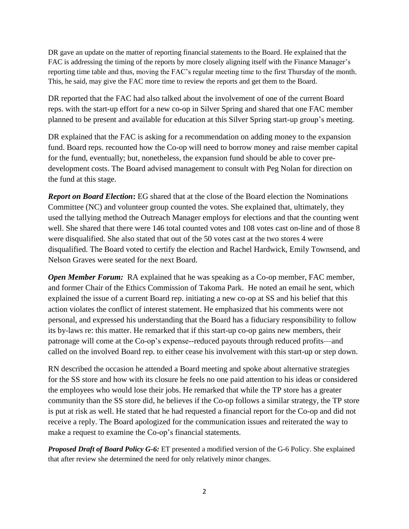DR gave an update on the matter of reporting financial statements to the Board. He explained that the FAC is addressing the timing of the reports by more closely aligning itself with the Finance Manager's reporting time table and thus, moving the FAC's regular meeting time to the first Thursday of the month. This, he said, may give the FAC more time to review the reports and get them to the Board.

DR reported that the FAC had also talked about the involvement of one of the current Board reps. with the start-up effort for a new co-op in Silver Spring and shared that one FAC member planned to be present and available for education at this Silver Spring start-up group's meeting.

DR explained that the FAC is asking for a recommendation on adding money to the expansion fund. Board reps. recounted how the Co-op will need to borrow money and raise member capital for the fund, eventually; but, nonetheless, the expansion fund should be able to cover predevelopment costs. The Board advised management to consult with Peg Nolan for direction on the fund at this stage.

*Report on Board Election***:** EG shared that at the close of the Board election the Nominations Committee (NC) and volunteer group counted the votes. She explained that, ultimately, they used the tallying method the Outreach Manager employs for elections and that the counting went well. She shared that there were 146 total counted votes and 108 votes cast on-line and of those 8 were disqualified. She also stated that out of the 50 votes cast at the two stores 4 were disqualified. The Board voted to certify the election and Rachel Hardwick, Emily Townsend, and Nelson Graves were seated for the next Board.

*Open Member Forum:* RA explained that he was speaking as a Co-op member, FAC member, and former Chair of the Ethics Commission of Takoma Park. He noted an email he sent, which explained the issue of a current Board rep. initiating a new co-op at SS and his belief that this action violates the conflict of interest statement. He emphasized that his comments were not personal, and expressed his understanding that the Board has a fiduciary responsibility to follow its by-laws re: this matter. He remarked that if this start-up co-op gains new members, their patronage will come at the Co-op's expense--reduced payouts through reduced profits—and called on the involved Board rep. to either cease his involvement with this start-up or step down.

RN described the occasion he attended a Board meeting and spoke about alternative strategies for the SS store and how with its closure he feels no one paid attention to his ideas or considered the employees who would lose their jobs. He remarked that while the TP store has a greater community than the SS store did, he believes if the Co-op follows a similar strategy, the TP store is put at risk as well. He stated that he had requested a financial report for the Co-op and did not receive a reply. The Board apologized for the communication issues and reiterated the way to make a request to examine the Co-op's financial statements.

*Proposed Draft of Board Policy G-6:* ET presented a modified version of the G-6 Policy. She explained that after review she determined the need for only relatively minor changes.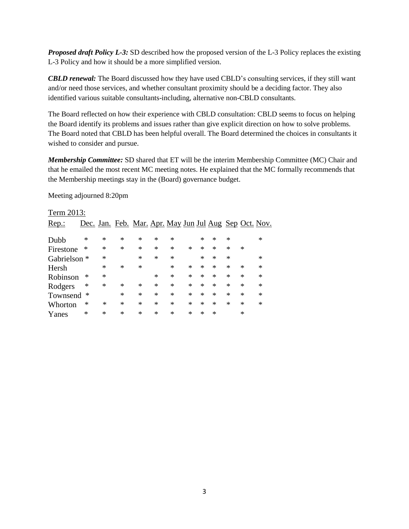**Proposed draft Policy L-3:** SD described how the proposed version of the L-3 Policy replaces the existing L-3 Policy and how it should be a more simplified version.

**CBLD renewal:** The Board discussed how they have used CBLD's consulting services, if they still want and/or need those services, and whether consultant proximity should be a deciding factor. They also identified various suitable consultants-including, alternative non-CBLD consultants.

The Board reflected on how their experience with CBLD consultation: CBLD seems to focus on helping the Board identify its problems and issues rather than give explicit direction on how to solve problems. The Board noted that CBLD has been helpful overall. The Board determined the choices in consultants it wished to consider and pursue.

Membership Committee: SD shared that ET will be the interim Membership Committee (MC) Chair and that he emailed the most recent MC meeting notes. He explained that the MC formally recommends that the Membership meetings stay in the (Board) governance budget.

Meeting adjourned 8:20pm

| Term 2013:              |   |        |        |                                                        |        |        |        |        |   |        |        |        |
|-------------------------|---|--------|--------|--------------------------------------------------------|--------|--------|--------|--------|---|--------|--------|--------|
| $Rep.$ :                |   |        |        | Dec. Jan. Feb. Mar. Apr. May Jun Jul Aug Sep Oct. Nov. |        |        |        |        |   |        |        |        |
|                         |   |        |        |                                                        |        |        |        |        |   |        |        |        |
| Dubb                    | ∗ | ∗      | ∗      | ∗                                                      | $\ast$ | $\ast$ |        | *      | * | $\ast$ |        | $\ast$ |
| Firestone               | ∗ | $\ast$ | $\ast$ | ∗                                                      | ∗      | $\ast$ | $\ast$ | $\ast$ | * | $\ast$ | $\ast$ |        |
| Gabrielson <sup>*</sup> |   | $\ast$ |        | *                                                      | ∗      | $\ast$ |        | $\ast$ | * | $\ast$ |        | $\ast$ |
| Hersh                   |   | $\ast$ | $\ast$ | *                                                      |        | $\ast$ | $\ast$ | $\ast$ | * | $\ast$ | $\ast$ | ∗      |
| Robinson                | ∗ | $\ast$ |        |                                                        | ∗      | $\ast$ | $\ast$ | $\ast$ | * | $\ast$ | $\ast$ | $\ast$ |
| Rodgers                 | ∗ | $\ast$ | $\ast$ | $\ast$                                                 | $\ast$ | $\ast$ | $\ast$ | $\ast$ | * | $\ast$ | $\ast$ | $\ast$ |
| Townsend                | ∗ |        | $\ast$ | *                                                      | ∗      | $\ast$ | *      | $\ast$ | * | $\ast$ | $\ast$ | *      |
| Whorton                 | ∗ | *      | *      | ∗                                                      | $\ast$ | $\ast$ | ∗      | $\ast$ | * | ∗      | $\ast$ | ∗      |
| Yanes                   | ∗ | ∗      | ∗      | *                                                      | $\ast$ | $\ast$ | ∗      | ∗      | * |        | *      |        |

# $2012$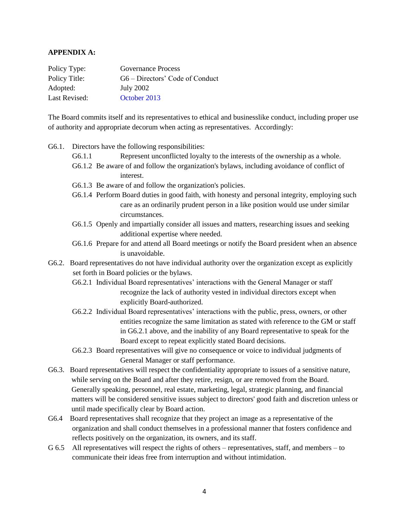#### **APPENDIX A:**

| Policy Type:  | <b>Governance Process</b>       |
|---------------|---------------------------------|
| Policy Title: | G6 – Directors' Code of Conduct |
| Adopted:      | July 2002                       |
| Last Revised: | October 2013                    |

The Board commits itself and its representatives to ethical and businesslike conduct, including proper use of authority and appropriate decorum when acting as representatives. Accordingly:

- G6.1. Directors have the following responsibilities:
	- G6.1.1 Represent unconflicted loyalty to the interests of the ownership as a whole.
	- G6.1.2 Be aware of and follow the organization's bylaws, including avoidance of conflict of interest.
	- G6.1.3 Be aware of and follow the organization's policies.
	- G6.1.4 Perform Board duties in good faith, with honesty and personal integrity, employing such care as an ordinarily prudent person in a like position would use under similar circumstances.
	- G6.1.5 Openly and impartially consider all issues and matters, researching issues and seeking additional expertise where needed.
	- G6.1.6 Prepare for and attend all Board meetings or notify the Board president when an absence is unavoidable.
- G6.2. Board representatives do not have individual authority over the organization except as explicitly set forth in Board policies or the bylaws.
	- G6.2.1 Individual Board representatives' interactions with the General Manager or staff recognize the lack of authority vested in individual directors except when explicitly Board-authorized.
	- G6.2.2 Individual Board representatives' interactions with the public, press, owners, or other entities recognize the same limitation as stated with reference to the GM or staff in G6.2.1 above, and the inability of any Board representative to speak for the Board except to repeat explicitly stated Board decisions.
	- G6.2.3 Board representatives will give no consequence or voice to individual judgments of General Manager or staff performance.
- G6.3. Board representatives will respect the confidentiality appropriate to issues of a sensitive nature, while serving on the Board and after they retire, resign, or are removed from the Board. Generally speaking, personnel, real estate, marketing, legal, strategic planning, and financial matters will be considered sensitive issues subject to directors' good faith and discretion unless or until made specifically clear by Board action.
- G6.4 Board representatives shall recognize that they project an image as a representative of the organization and shall conduct themselves in a professional manner that fosters confidence and reflects positively on the organization, its owners, and its staff.
- G 6.5 All representatives will respect the rights of others representatives, staff, and members to communicate their ideas free from interruption and without intimidation.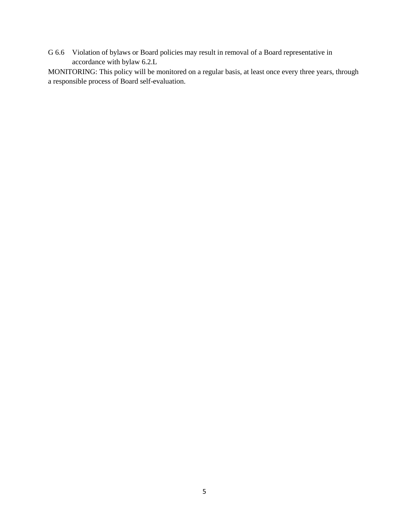G 6.6 Violation of bylaws or Board policies may result in removal of a Board representative in accordance with bylaw 6.2.L

MONITORING: This policy will be monitored on a regular basis, at least once every three years, through a responsible process of Board self-evaluation.